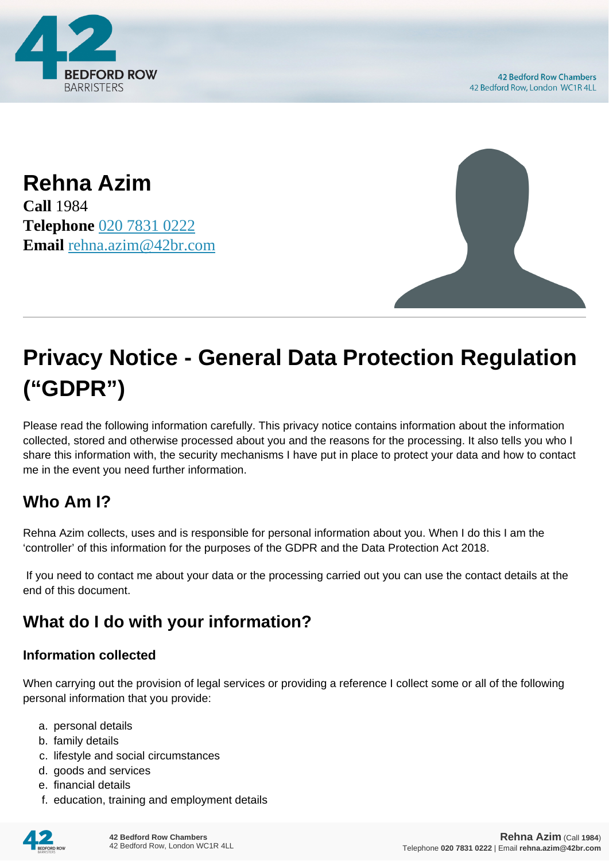

**Rehna Azim Call** 1984 **Telephone** [020 7831 0222](https://pdf.codeshore.co/_42br/tel:020 7831 0222) **Email** [rehna.azim@42br.com](mailto:rehna.azim@42br.com)



# **Privacy Notice - General Data Protection Regulation ("GDPR")**

Please read the following information carefully. This privacy notice contains information about the information collected, stored and otherwise processed about you and the reasons for the processing. It also tells you who I share this information with, the security mechanisms I have put in place to protect your data and how to contact me in the event you need further information.

# **Who Am I?**

Rehna Azim collects, uses and is responsible for personal information about you. When I do this I am the 'controller' of this information for the purposes of the GDPR and the Data Protection Act 2018.

 If you need to contact me about your data or the processing carried out you can use the contact details at the end of this document.

# **What do I do with your information?**

#### **Information collected**

When carrying out the provision of legal services or providing a reference I collect some or all of the following personal information that you provide:

- a. personal details
- b. family details
- c. lifestyle and social circumstances
- d. goods and services
- e. financial details
- f. education, training and employment details

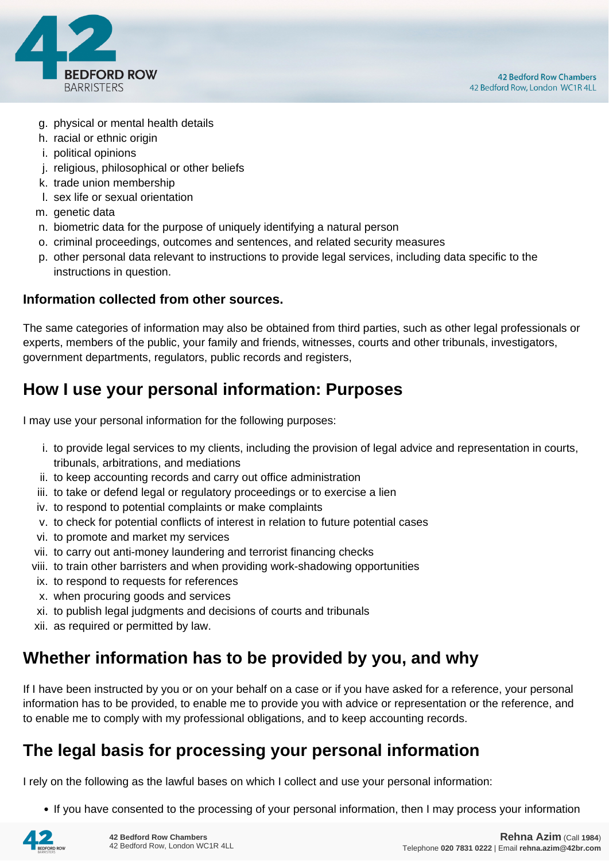

- g. physical or mental health details
- h. racial or ethnic origin
- i. political opinions
- j. religious, philosophical or other beliefs
- k. trade union membership
- l. sex life or sexual orientation
- m. genetic data
- n. biometric data for the purpose of uniquely identifying a natural person
- o. criminal proceedings, outcomes and sentences, and related security measures
- p. other personal data relevant to instructions to provide legal services, including data specific to the instructions in question.

#### **Information collected from other sources.**

The same categories of information may also be obtained from third parties, such as other legal professionals or experts, members of the public, your family and friends, witnesses, courts and other tribunals, investigators, government departments, regulators, public records and registers,

## **How I use your personal information: Purposes**

I may use your personal information for the following purposes:

- i. to provide legal services to my clients, including the provision of legal advice and representation in courts, tribunals, arbitrations, and mediations
- ii. to keep accounting records and carry out office administration
- iii. to take or defend legal or regulatory proceedings or to exercise a lien
- iv. to respond to potential complaints or make complaints
- v. to check for potential conflicts of interest in relation to future potential cases
- vi. to promote and market my services
- vii. to carry out anti-money laundering and terrorist financing checks
- viii. to train other barristers and when providing work-shadowing opportunities
- ix. to respond to requests for references
- x. when procuring goods and services
- xi. to publish legal judgments and decisions of courts and tribunals
- xii. as required or permitted by law.

## **Whether information has to be provided by you, and why**

If I have been instructed by you or on your behalf on a case or if you have asked for a reference, your personal information has to be provided, to enable me to provide you with advice or representation or the reference, and to enable me to comply with my professional obligations, and to keep accounting records.

## **The legal basis for processing your personal information**

I rely on the following as the lawful bases on which I collect and use your personal information:

• If you have consented to the processing of your personal information, then I may process your information

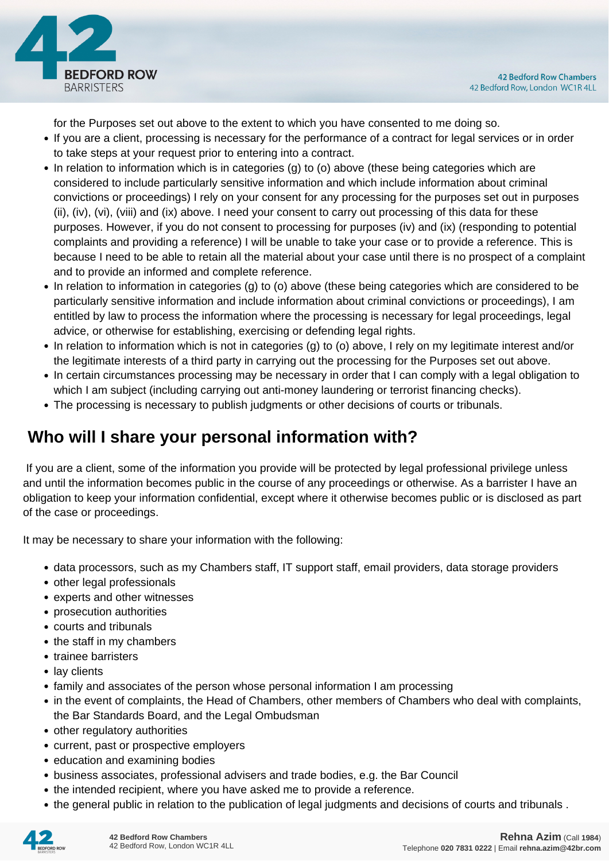

for the Purposes set out above to the extent to which you have consented to me doing so.

- If you are a client, processing is necessary for the performance of a contract for legal services or in order to take steps at your request prior to entering into a contract.
- In relation to information which is in categories (g) to (o) above (these being categories which are considered to include particularly sensitive information and which include information about criminal convictions or proceedings) I rely on your consent for any processing for the purposes set out in purposes (ii), (iv), (vi), (viii) and (ix) above. I need your consent to carry out processing of this data for these purposes. However, if you do not consent to processing for purposes (iv) and (ix) (responding to potential complaints and providing a reference) I will be unable to take your case or to provide a reference. This is because I need to be able to retain all the material about your case until there is no prospect of a complaint and to provide an informed and complete reference.
- In relation to information in categories (g) to (o) above (these being categories which are considered to be particularly sensitive information and include information about criminal convictions or proceedings), I am entitled by law to process the information where the processing is necessary for legal proceedings, legal advice, or otherwise for establishing, exercising or defending legal rights.
- In relation to information which is not in categories (g) to (o) above, I rely on my legitimate interest and/or the legitimate interests of a third party in carrying out the processing for the Purposes set out above.
- In certain circumstances processing may be necessary in order that I can comply with a legal obligation to which I am subject (including carrying out anti-money laundering or terrorist financing checks).
- The processing is necessary to publish judgments or other decisions of courts or tribunals.

# **Who will I share your personal information with?**

 If you are a client, some of the information you provide will be protected by legal professional privilege unless and until the information becomes public in the course of any proceedings or otherwise. As a barrister I have an obligation to keep your information confidential, except where it otherwise becomes public or is disclosed as part of the case or proceedings.

It may be necessary to share your information with the following:

- data processors, such as my Chambers staff, IT support staff, email providers, data storage providers
- other legal professionals
- experts and other witnesses
- prosecution authorities
- courts and tribunals
- the staff in my chambers
- trainee barristers
- lay clients
- family and associates of the person whose personal information I am processing
- in the event of complaints, the Head of Chambers, other members of Chambers who deal with complaints, the Bar Standards Board, and the Legal Ombudsman
- other regulatory authorities
- current, past or prospective employers
- education and examining bodies
- business associates, professional advisers and trade bodies, e.g. the Bar Council
- the intended recipient, where you have asked me to provide a reference.
- the general public in relation to the publication of legal judgments and decisions of courts and tribunals .

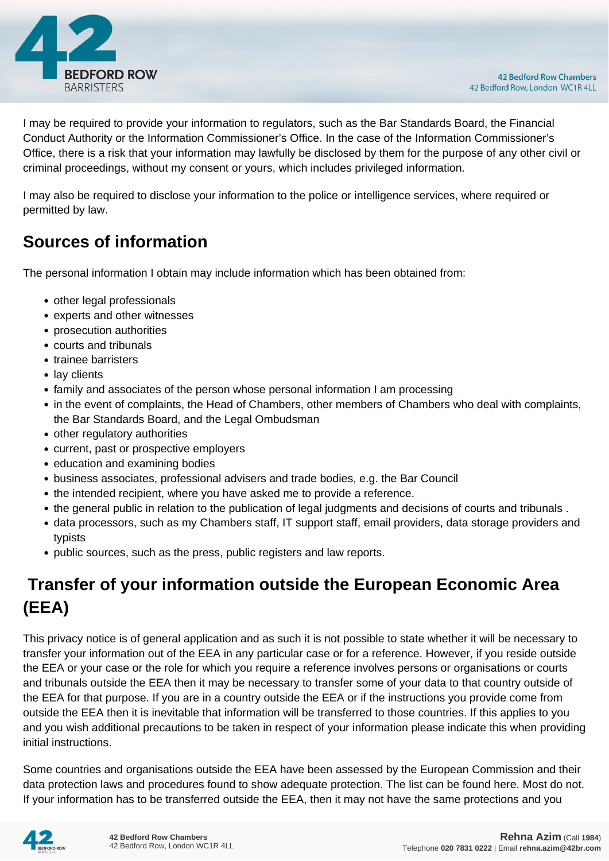

I may be required to provide your information to regulators, such as the Bar Standards Board, the Financial Conduct Authority or the Information Commissioner's Office. In the case of the Information Commissioner's Office, there is a risk that your information may lawfully be disclosed by them for the purpose of any other civil or criminal proceedings, without my consent or yours, which includes privileged information.

I may also be required to disclose your information to the police or intelligence services, where required or permitted by law.

# **Sources of information**

The personal information I obtain may include information which has been obtained from:

- other legal professionals
- experts and other witnesses
- prosecution authorities
- courts and tribunals
- trainee barristers
- lay clients
- family and associates of the person whose personal information I am processing
- in the event of complaints, the Head of Chambers, other members of Chambers who deal with complaints, the Bar Standards Board, and the Legal Ombudsman
- other regulatory authorities
- current, past or prospective employers
- education and examining bodies
- business associates, professional advisers and trade bodies, e.g. the Bar Council
- the intended recipient, where you have asked me to provide a reference.
- the general public in relation to the publication of legal judgments and decisions of courts and tribunals .
- data processors, such as my Chambers staff, IT support staff, email providers, data storage providers and typists
- public sources, such as the press, public registers and law reports.

# **Transfer of your information outside the European Economic Area (EEA)**

This privacy notice is of general application and as such it is not possible to state whether it will be necessary to transfer your information out of the EEA in any particular case or for a reference. However, if you reside outside the EEA or your case or the role for which you require a reference involves persons or organisations or courts and tribunals outside the EEA then it may be necessary to transfer some of your data to that country outside of the EEA for that purpose. If you are in a country outside the EEA or if the instructions you provide come from outside the EEA then it is inevitable that information will be transferred to those countries. If this applies to you and you wish additional precautions to be taken in respect of your information please indicate this when providing initial instructions.

Some countries and organisations outside the EEA have been assessed by the European Commission and their data protection laws and procedures found to show adequate protection. The list can be found here. Most do not. If your information has to be transferred outside the EEA, then it may not have the same protections and you

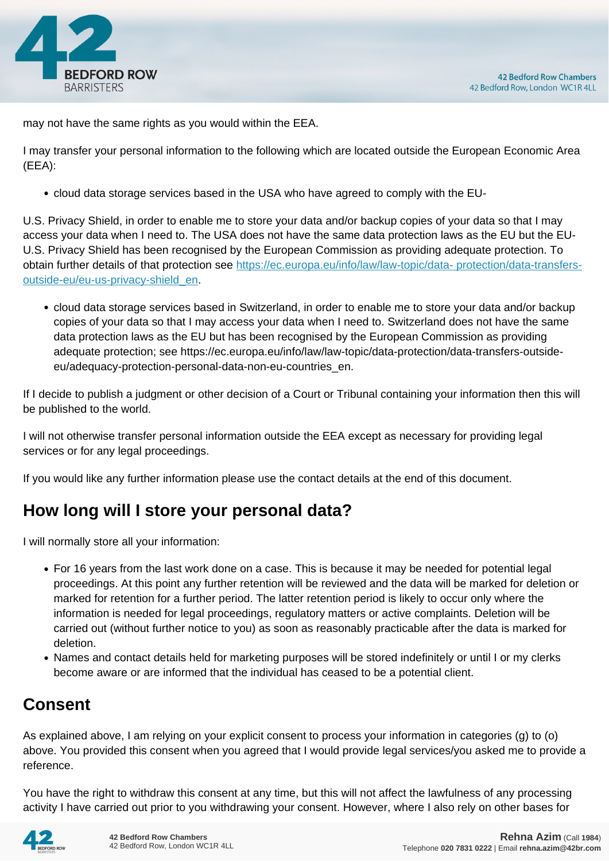

may not have the same rights as you would within the EEA.

I may transfer your personal information to the following which are located outside the European Economic Area (EEA):

cloud data storage services based in the USA who have agreed to comply with the EU-

U.S. Privacy Shield, in order to enable me to store your data and/or backup copies of your data so that I may access your data when I need to. The USA does not have the same data protection laws as the EU but the EU-U.S. Privacy Shield has been recognised by the European Commission as providing adequate protection. To obtain further details of that protection see [https://ec.europa.eu/info/law/law-topic/data- protection/data-transfers](https://ec.europa.eu/info/law/law-topic/data- protection/data-transfers-outside-eu/eu-us-privacy-shield_en)[outside-eu/eu-us-privacy-shield\\_en.](https://ec.europa.eu/info/law/law-topic/data- protection/data-transfers-outside-eu/eu-us-privacy-shield_en)

cloud data storage services based in Switzerland, in order to enable me to store your data and/or backup copies of your data so that I may access your data when I need to. Switzerland does not have the same data protection laws as the EU but has been recognised by the European Commission as providing adequate protection; see https://ec.europa.eu/info/law/law-topic/data-protection/data-transfers-outsideeu/adequacy-protection-personal-data-non-eu-countries\_en.

If I decide to publish a judgment or other decision of a Court or Tribunal containing your information then this will be published to the world.

I will not otherwise transfer personal information outside the EEA except as necessary for providing legal services or for any legal proceedings.

If you would like any further information please use the contact details at the end of this document.

## **How long will I store your personal data?**

I will normally store all your information:

- For 16 years from the last work done on a case. This is because it may be needed for potential legal proceedings. At this point any further retention will be reviewed and the data will be marked for deletion or marked for retention for a further period. The latter retention period is likely to occur only where the information is needed for legal proceedings, regulatory matters or active complaints. Deletion will be carried out (without further notice to you) as soon as reasonably practicable after the data is marked for deletion.
- Names and contact details held for marketing purposes will be stored indefinitely or until I or my clerks become aware or are informed that the individual has ceased to be a potential client.

# **Consent**

As explained above, I am relying on your explicit consent to process your information in categories (g) to (o) above. You provided this consent when you agreed that I would provide legal services/you asked me to provide a reference.

You have the right to withdraw this consent at any time, but this will not affect the lawfulness of any processing activity I have carried out prior to you withdrawing your consent. However, where I also rely on other bases for

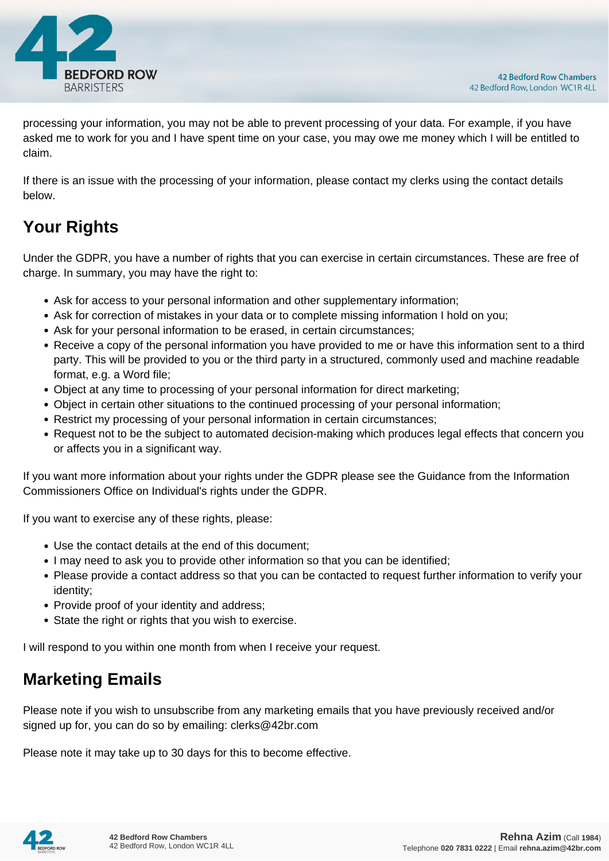

processing your information, you may not be able to prevent processing of your data. For example, if you have asked me to work for you and I have spent time on your case, you may owe me money which I will be entitled to claim.

If there is an issue with the processing of your information, please contact my clerks using the contact details below.

# **Your Rights**

Under the GDPR, you have a number of rights that you can exercise in certain circumstances. These are free of charge. In summary, you may have the right to:

- Ask for access to your personal information and other supplementary information;
- Ask for correction of mistakes in your data or to complete missing information I hold on you;
- Ask for your personal information to be erased, in certain circumstances;
- Receive a copy of the personal information you have provided to me or have this information sent to a third party. This will be provided to you or the third party in a structured, commonly used and machine readable format, e.g. a Word file;
- Object at any time to processing of your personal information for direct marketing;
- Object in certain other situations to the continued processing of your personal information;
- Restrict my processing of your personal information in certain circumstances;
- Request not to be the subject to automated decision-making which produces legal effects that concern you or affects you in a significant way.

If you want more information about your rights under the GDPR please see the Guidance from the Information Commissioners Office on Individual's rights under the GDPR.

If you want to exercise any of these rights, please:

- Use the contact details at the end of this document;
- I may need to ask you to provide other information so that you can be identified;
- Please provide a contact address so that you can be contacted to request further information to verify your identity;
- Provide proof of your identity and address;
- State the right or rights that you wish to exercise.

I will respond to you within one month from when I receive your request.

## **Marketing Emails**

Please note if you wish to unsubscribe from any marketing emails that you have previously received and/or signed up for, you can do so by emailing: clerks@42br.com

Please note it may take up to 30 days for this to become effective.